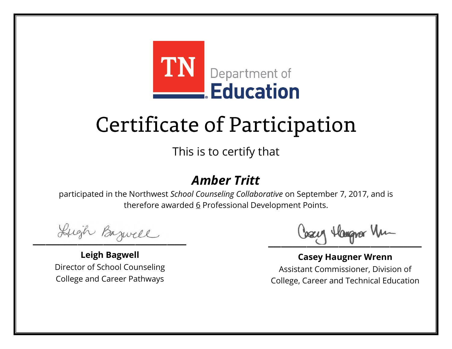

This is to certify that

### *Amber Tritt*

Lugh Bazwell

**Leigh Bagwell** Director of School Counseling College and Career Pathways

Cosey Hangra Vm

**Casey Haugner Wrenn** Assistant Commissioner, Division of College, Career and Technical Education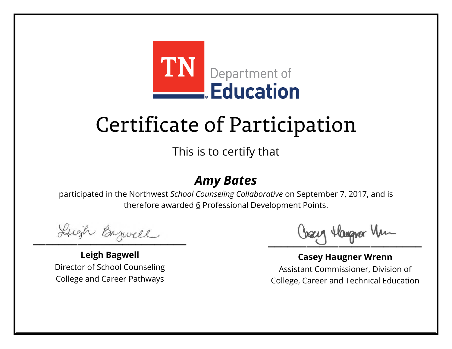

This is to certify that

#### *Amy Bates*

Lugh Bazwell

**Leigh Bagwell** Director of School Counseling College and Career Pathways

Losey Hangra Vm

**Casey Haugner Wrenn** Assistant Commissioner, Division of College, Career and Technical Education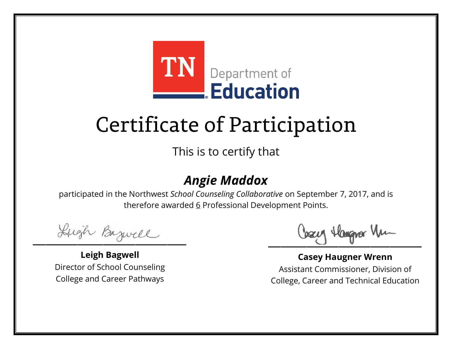

This is to certify that

### *Angie Maddox*

Lugh Bazwell

**Leigh Bagwell** Director of School Counseling College and Career Pathways

Cosey Hangra Vm

**Casey Haugner Wrenn** Assistant Commissioner, Division of College, Career and Technical Education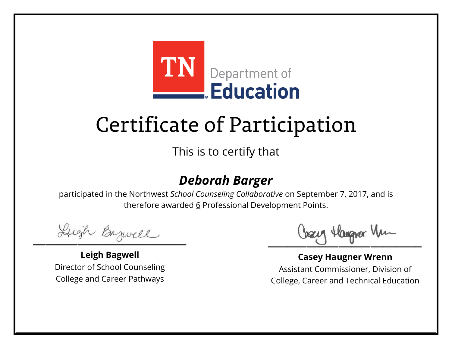

This is to certify that

### *Deborah Barger*

Lugh Bazwell

**Leigh Bagwell** Director of School Counseling College and Career Pathways

Cosey Hangra Vm

**Casey Haugner Wrenn** Assistant Commissioner, Division of College, Career and Technical Education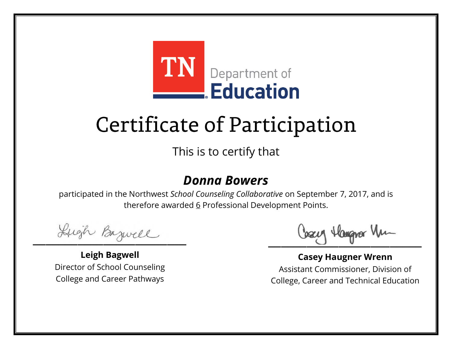

This is to certify that

#### *Donna Bowers*

Lugh Bazwell

**Leigh Bagwell** Director of School Counseling College and Career Pathways

Cosey Hangra Vm

**Casey Haugner Wrenn** Assistant Commissioner, Division of College, Career and Technical Education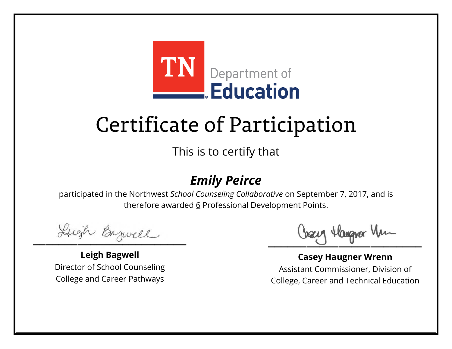

This is to certify that

### *Emily Peirce*

Lugh Bazwell

**Leigh Bagwell** Director of School Counseling College and Career Pathways

Cosey Hangra Vm

**Casey Haugner Wrenn** Assistant Commissioner, Division of College, Career and Technical Education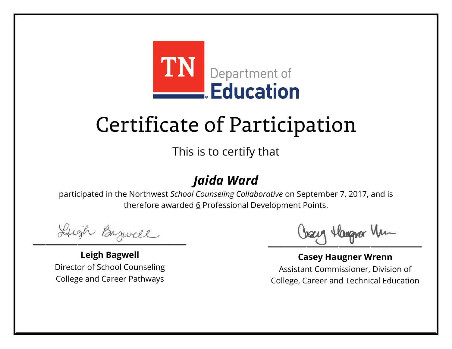

This is to certify that

### *Jaida Ward*

Lugh Bazwell

**Leigh Bagwell** Director of School Counseling College and Career Pathways

Losey Hangra Vm

**Casey Haugner Wrenn** Assistant Commissioner, Division of College, Career and Technical Education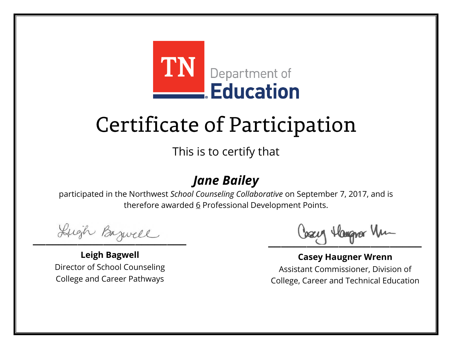

This is to certify that

### *Jane Bailey*

Lugh Bazwell

**Leigh Bagwell** Director of School Counseling College and Career Pathways

Cosey Hangra Vm

**Casey Haugner Wrenn** Assistant Commissioner, Division of College, Career and Technical Education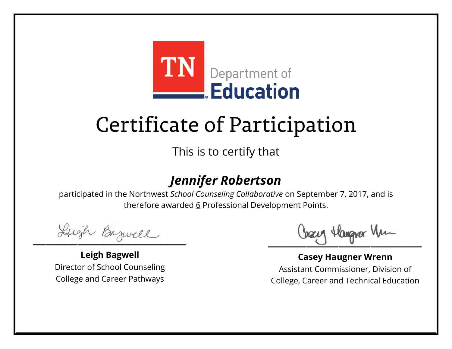

This is to certify that

### *Jennifer Robertson*

Lugh Bazwell

**Leigh Bagwell** Director of School Counseling College and Career Pathways

Cosey Hangra Vm

**Casey Haugner Wrenn** Assistant Commissioner, Division of College, Career and Technical Education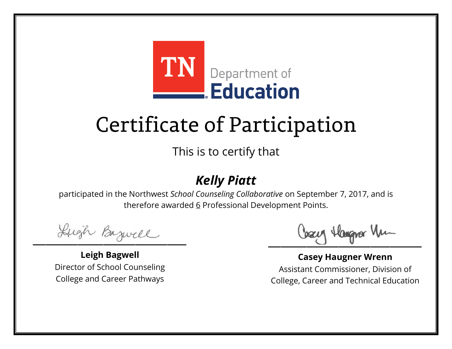

This is to certify that

### *Kelly Piatt*

Lugh Bazwell

**Leigh Bagwell** Director of School Counseling College and Career Pathways

Cosey Hangra Vm

**Casey Haugner Wrenn** Assistant Commissioner, Division of College, Career and Technical Education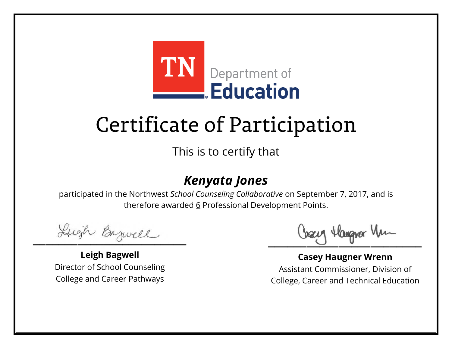

This is to certify that

### *Kenyata Jones*

Lugh Bazwell

**Leigh Bagwell** Director of School Counseling College and Career Pathways

Cosey Hangra Vm

**Casey Haugner Wrenn** Assistant Commissioner, Division of College, Career and Technical Education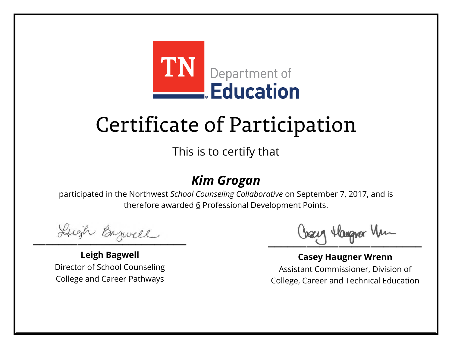

This is to certify that

### *Kim Grogan*

Lugh Bazwell

**Leigh Bagwell** Director of School Counseling College and Career Pathways

Cosey Hangra Vm

**Casey Haugner Wrenn** Assistant Commissioner, Division of College, Career and Technical Education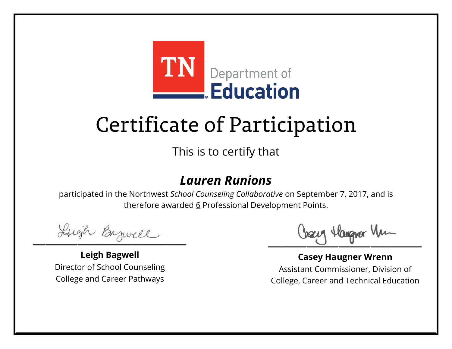

This is to certify that

#### *Lauren Runions*

Lugh Bazwell

**Leigh Bagwell** Director of School Counseling College and Career Pathways

Cosey Hangra Vm

**Casey Haugner Wrenn** Assistant Commissioner, Division of College, Career and Technical Education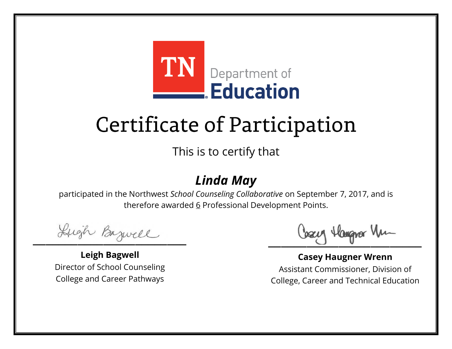

This is to certify that

### *Linda May*

Lugh Bazwell

**Leigh Bagwell** Director of School Counseling College and Career Pathways

Cosey Hangra Vm

**Casey Haugner Wrenn** Assistant Commissioner, Division of College, Career and Technical Education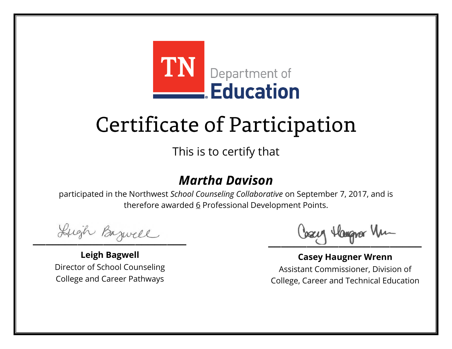

This is to certify that

#### *Martha Davison*

Lugh Bazwell

**Leigh Bagwell** Director of School Counseling College and Career Pathways

Cosey Hangra Vm

**Casey Haugner Wrenn** Assistant Commissioner, Division of College, Career and Technical Education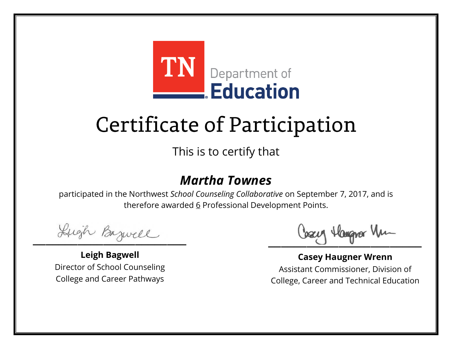

This is to certify that

#### *Martha Townes*

Lugh Bazwell

**Leigh Bagwell** Director of School Counseling College and Career Pathways

Cosey Hangra Vm

**Casey Haugner Wrenn** Assistant Commissioner, Division of College, Career and Technical Education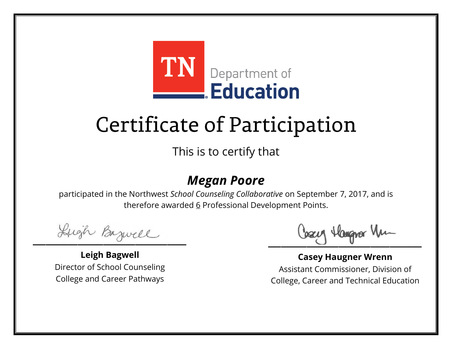

This is to certify that

#### *Megan Poore*

Lugh Bazwell

**Leigh Bagwell** Director of School Counseling College and Career Pathways

Cosey Hangra Vm

**Casey Haugner Wrenn** Assistant Commissioner, Division of College, Career and Technical Education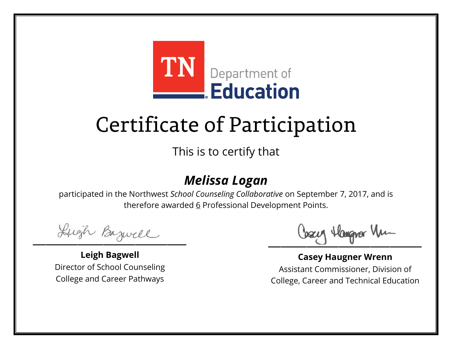

This is to certify that

### *Melissa Logan*

Lugh Bazwell

**Leigh Bagwell** Director of School Counseling College and Career Pathways

Cosey Hangra Vm

**Casey Haugner Wrenn** Assistant Commissioner, Division of College, Career and Technical Education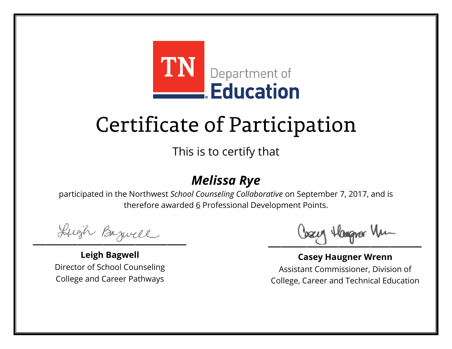

This is to certify that

### *Melissa Rye*

Lugh Bazwell

**Leigh Bagwell** Director of School Counseling College and Career Pathways

Cosey Hangra Vm

**Casey Haugner Wrenn** Assistant Commissioner, Division of College, Career and Technical Education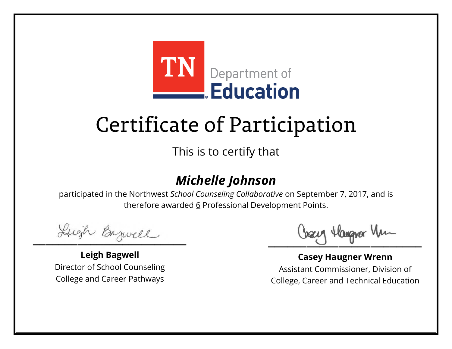

This is to certify that

### *Michelle Johnson*

Lugh Bazwell

**Leigh Bagwell** Director of School Counseling College and Career Pathways

Cosey Hangra Vm

**Casey Haugner Wrenn** Assistant Commissioner, Division of College, Career and Technical Education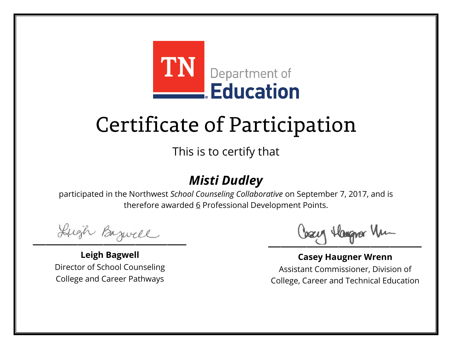

This is to certify that

### *Misti Dudley*

Lugh Bazwell

**Leigh Bagwell** Director of School Counseling College and Career Pathways

Cosey Hangra Vm

**Casey Haugner Wrenn** Assistant Commissioner, Division of College, Career and Technical Education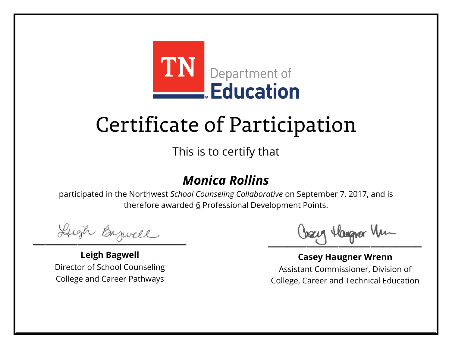

This is to certify that

### *Monica Rollins*

Lugh Bazwell

**Leigh Bagwell** Director of School Counseling College and Career Pathways

Cosey Hangra Vm

**Casey Haugner Wrenn** Assistant Commissioner, Division of College, Career and Technical Education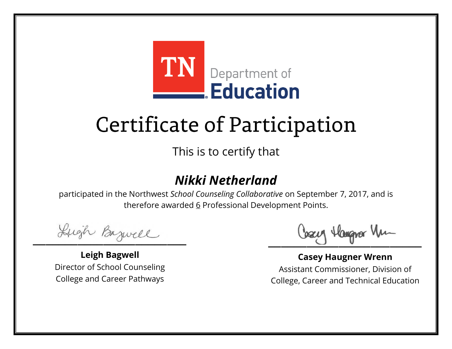

This is to certify that

### *Nikki Netherland*

Lugh Bazwell

**Leigh Bagwell** Director of School Counseling College and Career Pathways

Cosey Hangra Vm

**Casey Haugner Wrenn** Assistant Commissioner, Division of College, Career and Technical Education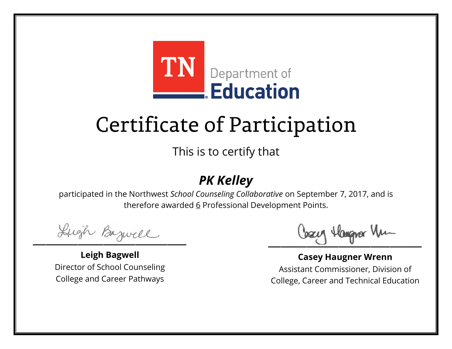

This is to certify that

### *PK Kelley*

Lugh Bazwell

**Leigh Bagwell** Director of School Counseling College and Career Pathways

Losey Hangra Vm

**Casey Haugner Wrenn** Assistant Commissioner, Division of College, Career and Technical Education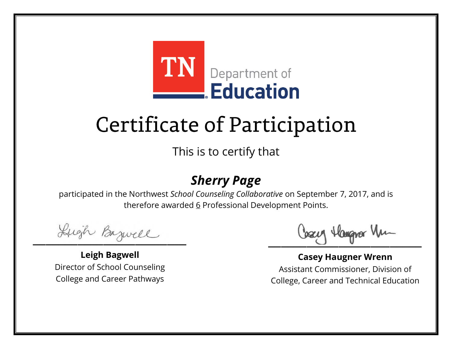

This is to certify that

### *Sherry Page*

Lugh Bazwell

**Leigh Bagwell** Director of School Counseling College and Career Pathways

Cosey Hangra Vm

**Casey Haugner Wrenn** Assistant Commissioner, Division of College, Career and Technical Education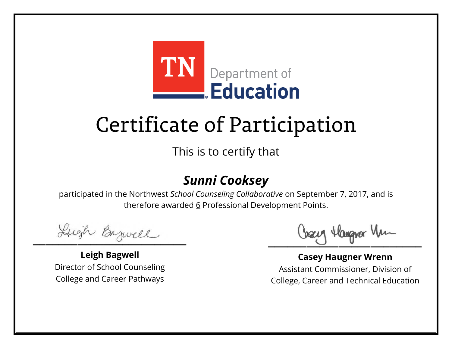

This is to certify that

### *Sunni Cooksey*

Lugh Bazwell

**Leigh Bagwell** Director of School Counseling College and Career Pathways

Cosey Hangra Vm

**Casey Haugner Wrenn** Assistant Commissioner, Division of College, Career and Technical Education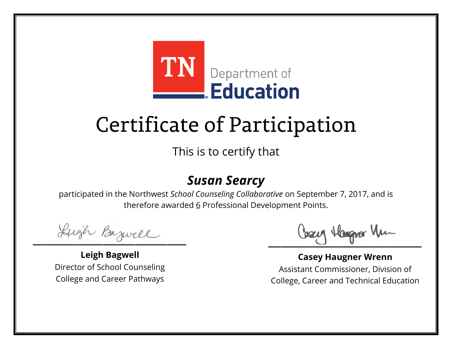

This is to certify that

#### *Susan Searcy*

Lugh Bazwell

**Leigh Bagwell** Director of School Counseling College and Career Pathways

Cosey Hangra Vm

**Casey Haugner Wrenn** Assistant Commissioner, Division of College, Career and Technical Education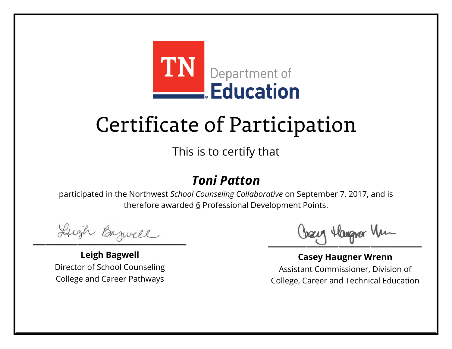

This is to certify that

### *Toni Patton*

Lugh Bazwell

**Leigh Bagwell** Director of School Counseling College and Career Pathways

Cosey Hangra Vm

**Casey Haugner Wrenn** Assistant Commissioner, Division of College, Career and Technical Education